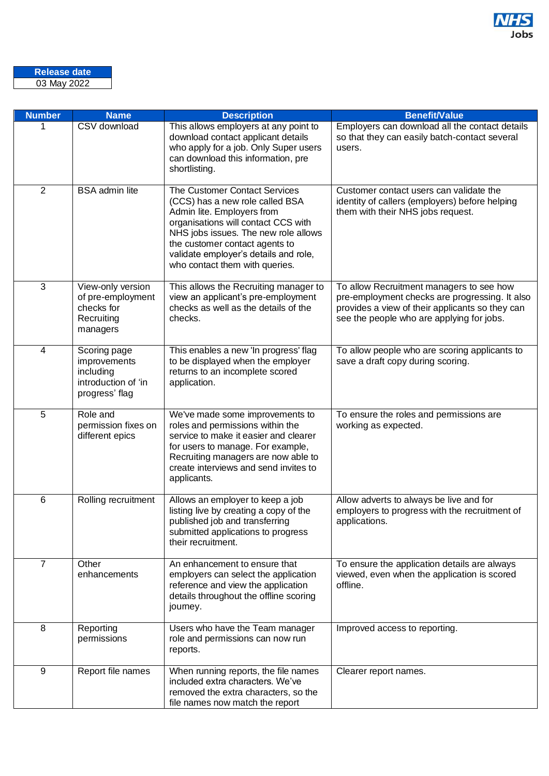

| <b>Number</b>  | <b>Name</b>                                                                        | <b>Description</b>                                                                                                                                                                                                                                                                         | <b>Benefit/Value</b>                                                                                                                                                                       |
|----------------|------------------------------------------------------------------------------------|--------------------------------------------------------------------------------------------------------------------------------------------------------------------------------------------------------------------------------------------------------------------------------------------|--------------------------------------------------------------------------------------------------------------------------------------------------------------------------------------------|
| 1              | CSV download                                                                       | This allows employers at any point to<br>download contact applicant details<br>who apply for a job. Only Super users<br>can download this information, pre<br>shortlisting.                                                                                                                | Employers can download all the contact details<br>so that they can easily batch-contact several<br>users.                                                                                  |
| $\overline{2}$ | <b>BSA</b> admin lite                                                              | The Customer Contact Services<br>(CCS) has a new role called BSA<br>Admin lite. Employers from<br>organisations will contact CCS with<br>NHS jobs issues. The new role allows<br>the customer contact agents to<br>validate employer's details and role,<br>who contact them with queries. | Customer contact users can validate the<br>identity of callers (employers) before helping<br>them with their NHS jobs request.                                                             |
| 3              | View-only version<br>of pre-employment<br>checks for<br>Recruiting<br>managers     | This allows the Recruiting manager to<br>view an applicant's pre-employment<br>checks as well as the details of the<br>checks.                                                                                                                                                             | To allow Recruitment managers to see how<br>pre-employment checks are progressing. It also<br>provides a view of their applicants so they can<br>see the people who are applying for jobs. |
| 4              | Scoring page<br>improvements<br>including<br>introduction of 'in<br>progress' flag | This enables a new 'In progress' flag<br>to be displayed when the employer<br>returns to an incomplete scored<br>application.                                                                                                                                                              | To allow people who are scoring applicants to<br>save a draft copy during scoring.                                                                                                         |
| 5              | Role and<br>permission fixes on<br>different epics                                 | We've made some improvements to<br>roles and permissions within the<br>service to make it easier and clearer<br>for users to manage. For example,<br>Recruiting managers are now able to<br>create interviews and send invites to<br>applicants.                                           | To ensure the roles and permissions are<br>working as expected.                                                                                                                            |
| 6              | Rolling recruitment                                                                | Allows an employer to keep a job<br>listing live by creating a copy of the<br>published job and transferring<br>submitted applications to progress<br>their recruitment.                                                                                                                   | Allow adverts to always be live and for<br>employers to progress with the recruitment of<br>applications.                                                                                  |
| $\overline{7}$ | Other<br>enhancements                                                              | An enhancement to ensure that<br>employers can select the application<br>reference and view the application<br>details throughout the offline scoring<br>journey.                                                                                                                          | To ensure the application details are always<br>viewed, even when the application is scored<br>offline.                                                                                    |
| 8              | Reporting<br>permissions                                                           | Users who have the Team manager<br>role and permissions can now run<br>reports.                                                                                                                                                                                                            | Improved access to reporting.                                                                                                                                                              |
| 9              | Report file names                                                                  | When running reports, the file names<br>included extra characters. We've<br>removed the extra characters, so the<br>file names now match the report                                                                                                                                        | Clearer report names.                                                                                                                                                                      |